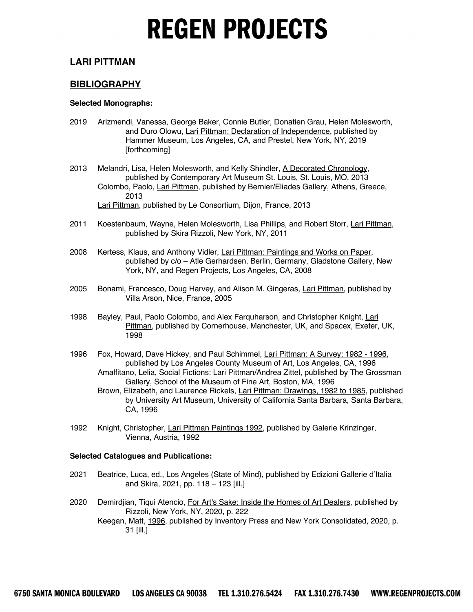#### **LARI PITTMAN**

#### **BIBLIOGRAPHY**

#### **Selected Monographs:**

2019 Arizmendi, Vanessa, George Baker, Connie Butler, Donatien Grau, Helen Molesworth, and Duro Olowu, Lari Pittman: Declaration of Independence, published by Hammer Museum, Los Angeles, CA, and Prestel, New York, NY, 2019 [forthcoming]

2013 Melandri, Lisa, Helen Molesworth, and Kelly Shindler, A Decorated Chronology, published by Contemporary Art Museum St. Louis, St. Louis, MO, 2013 Colombo, Paolo, Lari Pittman, published by Bernier/Eliades Gallery, Athens, Greece, 2013

Lari Pittman, published by Le Consortium, Dijon, France, 2013

- 2011 Koestenbaum, Wayne, Helen Molesworth, Lisa Phillips, and Robert Storr, Lari Pittman, published by Skira Rizzoli, New York, NY, 2011
- 2008 Kertess, Klaus, and Anthony Vidler, Lari Pittman: Paintings and Works on Paper, published by c/o – Atle Gerhardsen, Berlin, Germany, Gladstone Gallery, New York, NY, and Regen Projects, Los Angeles, CA, 2008
- 2005 Bonami, Francesco, Doug Harvey, and Alison M. Gingeras, Lari Pittman, published by Villa Arson, Nice, France, 2005
- 1998 Bayley, Paul, Paolo Colombo, and Alex Farquharson, and Christopher Knight, Lari Pittman, published by Cornerhouse, Manchester, UK, and Spacex, Exeter, UK, 1998
- 1996 Fox, Howard, Dave Hickey, and Paul Schimmel, Lari Pittman: A Survey: 1982 1996, published by Los Angeles County Museum of Art, Los Angeles, CA, 1996 Amalfitano, Lelia, Social Fictions: Lari Pittman/Andrea Zittel, published by The Grossman Gallery, School of the Museum of Fine Art, Boston, MA, 1996
	- Brown, Elizabeth, and Laurence Rickels, Lari Pittman: Drawings, 1982 to 1985, published by University Art Museum, University of California Santa Barbara, Santa Barbara, CA, 1996
- 1992 Knight, Christopher, Lari Pittman Paintings 1992, published by Galerie Krinzinger, Vienna, Austria, 1992

#### **Selected Catalogues and Publications:**

- 2021 Beatrice, Luca, ed., Los Angeles (State of Mind), published by Edizioni Gallerie d'Italia and Skira, 2021, pp. 118 – 123 [ill.]
- 2020 Demirdjian, Tiqui Atencio, For Art's Sake: Inside the Homes of Art Dealers, published by Rizzoli, New York, NY, 2020, p. 222

Keegan, Matt, 1996, published by Inventory Press and New York Consolidated, 2020, p. 31 [ill.]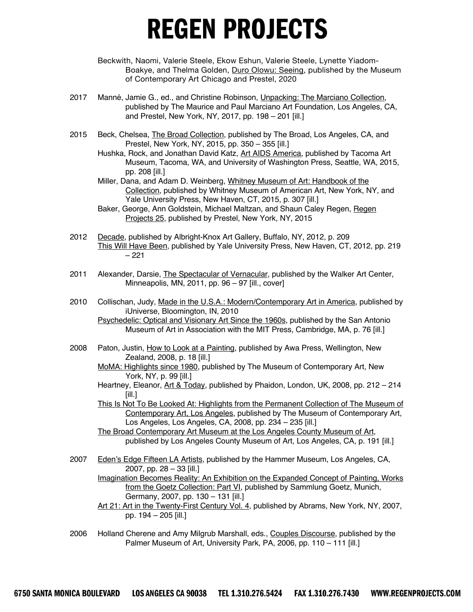- Beckwith, Naomi, Valerie Steele, Ekow Eshun, Valerie Steele, Lynette Yiadom-Boakye, and Thelma Golden, Duro Olowu: Seeing, published by the Museum of Contemporary Art Chicago and Prestel, 2020
- 2017 Manné, Jamie G., ed., and Christine Robinson, *Unpacking: The Marciano Collection*, published by The Maurice and Paul Marciano Art Foundation, Los Angeles, CA, and Prestel, New York, NY, 2017, pp. 198 – 201 [ill.]
- 2015 Beck, Chelsea, The Broad Collection, published by The Broad, Los Angeles, CA, and Prestel, New York, NY, 2015, pp. 350 – 355 [ill.]
	- Hushka, Rock, and Jonathan David Katz, Art AIDS America, published by Tacoma Art Museum, Tacoma, WA, and University of Washington Press, Seattle, WA, 2015, pp. 208 [ill.]
	- Miller, Dana, and Adam D. Weinberg, Whitney Museum of Art: Handbook of the Collection, published by Whitney Museum of American Art, New York, NY, and Yale University Press, New Haven, CT, 2015, p. 307 [ill.]
	- Baker, George, Ann Goldstein, Michael Maltzan, and Shaun Caley Regen, Regen Projects 25, published by Prestel, New York, NY, 2015
- 2012 Decade, published by Albright-Knox Art Gallery, Buffalo, NY, 2012, p. 209 This Will Have Been, published by Yale University Press, New Haven, CT, 2012, pp. 219 – 221
- 2011 Alexander, Darsie, The Spectacular of Vernacular, published by the Walker Art Center, Minneapolis, MN, 2011, pp. 96 – 97 [ill., cover]
- 2010 Collischan, Judy, Made in the U.S.A.: Modern/Contemporary Art in America, published by iUniverse, Bloomington, IN, 2010

Psychedelic: Optical and Visionary Art Since the 1960s, published by the San Antonio Museum of Art in Association with the MIT Press, Cambridge, MA, p. 76 [ill.]

- 2008 Paton, Justin, How to Look at a Painting, published by Awa Press, Wellington, New Zealand, 2008, p. 18 [ill.]
	- MoMA: Highlights since 1980, published by The Museum of Contemporary Art, New York, NY, p. 99 [ill.]
	- Heartney, Eleanor, Art & Today, published by Phaidon, London, UK, 2008, pp. 212 214  $[ill.]$
	- This Is Not To Be Looked At: Highlights from the Permanent Collection of The Museum of Contemporary Art, Los Angeles, published by The Museum of Contemporary Art, Los Angeles, Los Angeles, CA, 2008, pp. 234 – 235 [ill.]
	- The Broad Contemporary Art Museum at the Los Angeles County Museum of Art, published by Los Angeles County Museum of Art, Los Angeles, CA, p. 191 [ill.]
- 2007 Eden's Edge Fifteen LA Artists, published by the Hammer Museum, Los Angeles, CA, 2007, pp. 28 – 33 [ill.]
	- Imagination Becomes Reality: An Exhibition on the Expanded Concept of Painting, Works from the Goetz Collection: Part VI, published by Sammlung Goetz, Munich, Germany, 2007, pp. 130 – 131 [ill.]
	- Art 21: Art in the Twenty-First Century Vol. 4, published by Abrams, New York, NY, 2007, pp. 194 – 205 [ill.]
- 2006 Holland Cherene and Amy Milgrub Marshall, eds., Couples Discourse, published by the Palmer Museum of Art, University Park, PA, 2006, pp. 110 – 111 [ill.]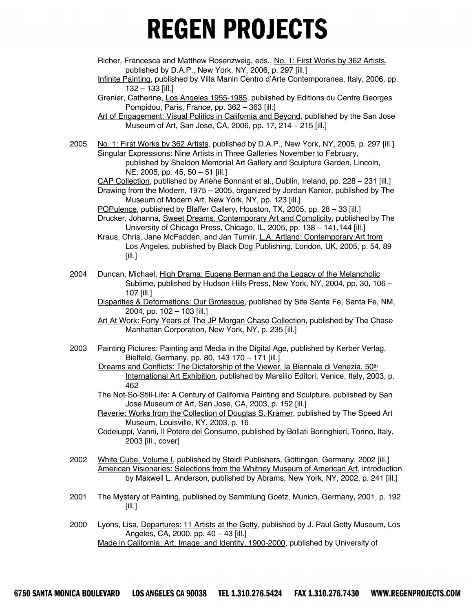Richer, Francesca and Matthew Rosenzweig, eds., No. 1: First Works by 362 Artists, published by D.A.P., New York, NY, 2006, p. 297 [ill.]

Infinite Painting, published by Villa Manin Centro d'Arte Contemporanea, Italy, 2006, pp. 132 – 133 [ill.]

Grenier, Catherine, Los Angeles 1955-1985, published by Editions du Centre Georges Pompidou, Paris, France, pp. 362 – 363 [ill.]

Art of Engagement: Visual Politics in California and Beyond, published by the San Jose Museum of Art, San Jose, CA, 2006, pp. 17, 214 – 215 [ill.]

2005 No. 1: First Works by 362 Artists, published by D.A.P., New York, NY, 2005, p. 297 [ill.] Singular Expressions: Nine Artists in Three Galleries November to February, published by Sheldon Memorial Art Gallery and Sculpture Garden, Lincoln, NE, 2005, pp. 45, 50 – 51 [ill.]

CAP Collection, published by Arlène Bonnant et al., Dublin, Ireland, pp. 228 – 231 [ill.] Drawing from the Modern, 1975 – 2005, organized by Jordan Kantor, published by The Museum of Modern Art, New York, NY, pp. 123 [ill.]

- POPulence, published by Blaffer Gallery, Houston, TX, 2005, pp. 28 33 [ill.]
- Drucker, Johanna, Sweet Dreams: Contemporary Art and Complicity, published by The University of Chicago Press, Chicago, IL, 2005, pp. 138 – 141,144 [ill.]

Kraus, Chris, Jane McFadden, and Jan Tumlir, L.A. Artland: Contemporary Art from Los Angeles, published by Black Dog Publishing, London, UK, 2005, p. 54, 89  $[ill.]$ 

- 2004 Duncan, Michael, High Drama: Eugene Berman and the Legacy of the Melancholic Sublime, published by Hudson Hills Press, New York, NY, 2004, pp. 30, 106 – 107 [ill.]
	- Disparities & Deformations: Our Grotesque, published by Site Santa Fe, Santa Fe, NM, 2004, pp. 102 – 103 [ill.]
	- Art At Work: Forty Years of The JP Morgan Chase Collection, published by The Chase Manhattan Corporation, New York, NY, p. 235 [ill.]
- 2003 Painting Pictures: Painting and Media in the Digital Age, published by Kerber Verlag, Bielfeld, Germany, pp. 80, 143 170 – 171 [ill.]

Dreams and Conflicts: The Dictatorship of the Viewer, la Biennale di Venezia, 50<sup>th</sup> International Art Exhibition, published by Marsilio Editori, Venice, Italy, 2003, p. 462

The Not-So-Still-Life: A Century of California Painting and Sculpture, published by San Jose Museum of Art, San Jose, CA, 2003, p. 152 [ill.]

Reverie: Works from the Collection of Douglas S. Kramer, published by The Speed Art Museum, Louisville, KY, 2003, p. 16

Codeluppi, Vanni, *Il Potere del Consumo*, published by Bollati Boringhieri, Torino, Italy, 2003 [ill., cover]

- 2002 White Cube, Volume I, published by Steidl Publishers, Göttingen, Germany, 2002 [ill.] American Visionaries: Selections from the Whitney Museum of American Art, introduction by Maxwell L. Anderson, published by Abrams, New York, NY, 2002, p. 241 [ill.]
- 2001 The Mystery of Painting, published by Sammlung Goetz, Munich, Germany, 2001, p. 192 [ill.]
- 2000 Lyons, Lisa, Departures: 11 Artists at the Getty, published by J. Paul Getty Museum, Los Angeles, CA, 2000, pp. 40 – 43 [ill.] Made in California: Art, Image, and Identity, 1900-2000, published by University of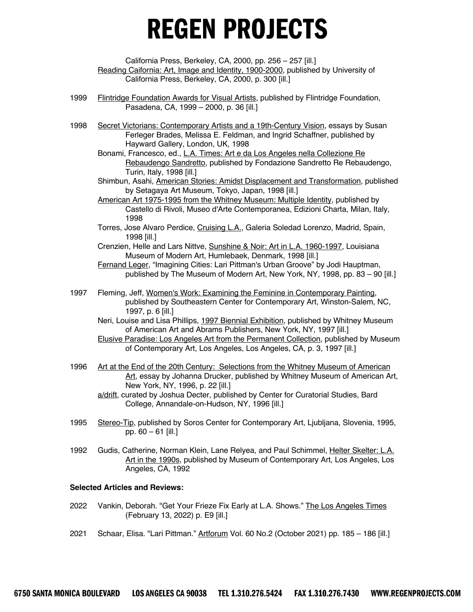California Press, Berkeley, CA, 2000, pp. 256 – 257 [ill.] Reading Caifornia: Art, Image and Identity, 1900-2000, published by University of California Press, Berkeley, CA, 2000, p. 300 [ill.]

- 1999 Flintridge Foundation Awards for Visual Artists, published by Flintridge Foundation, Pasadena, CA, 1999 – 2000, p. 36 [ill.]
- 1998 Secret Victorians: Contemporary Artists and a 19th-Century Vision, essays by Susan Ferleger Brades, Melissa E. Feldman, and Ingrid Schaffner, published by Hayward Gallery, London, UK, 1998
	- Bonami, Francesco, ed., L.A. Times: Art e da Los Angeles nella Collezione Re Rebaudengo Sandretto, published by Fondazione Sandretto Re Rebaudengo, Turin, Italy, 1998 [ill.]
	- Shimbun, Asahi, American Stories: Amidst Displacement and Transformation, published by Setagaya Art Museum, Tokyo, Japan, 1998 [ill.]
	- American Art 1975-1995 from the Whitney Museum: Multiple Identity, published by Castello di Rivoli, Museo d'Arte Contemporanea, Edizioni Charta, Milan, Italy, 1998
	- Torres, Jose Alvaro Perdice, Cruising L.A., Galeria Soledad Lorenzo, Madrid, Spain, 1998 [ill.]
	- Crenzien, Helle and Lars Nittve, Sunshine & Noir: Art in L.A. 1960-1997, Louisiana Museum of Modern Art, Humlebaek, Denmark, 1998 [ill.]
	- Fernand Leger, "Imagining Cities: Lari Pittman's Urban Groove" by Jodi Hauptman, published by The Museum of Modern Art, New York, NY, 1998, pp. 83 – 90 [ill.]
- 1997 Fleming, Jeff, Women's Work: Examining the Feminine in Contemporary Painting, published by Southeastern Center for Contemporary Art, Winston-Salem, NC, 1997, p. 6 [ill.]
	- Neri, Louise and Lisa Phillips, 1997 Biennial Exhibition, published by Whitney Museum of American Art and Abrams Publishers, New York, NY, 1997 [ill.]
	- Elusive Paradise: Los Angeles Art from the Permanent Collection, published by Museum of Contemporary Art, Los Angeles, Los Angeles, CA, p. 3, 1997 [ill.]
- 1996 Art at the End of the 20th Century: Selections from the Whitney Museum of American Art, essay by Johanna Drucker, published by Whitney Museum of American Art, New York, NY, 1996, p. 22 [ill.]
	- a/drift, curated by Joshua Decter, published by Center for Curatorial Studies, Bard College, Annandale-on-Hudson, NY, 1996 [ill.]
- 1995 Stereo-Tip, published by Soros Center for Contemporary Art, Ljubljana, Slovenia, 1995, pp. 60 – 61 [ill.]
- 1992 Gudis, Catherine, Norman Klein, Lane Relyea, and Paul Schimmel, Helter Skelter: L.A. Art in the 1990s, published by Museum of Contemporary Art, Los Angeles, Los Angeles, CA, 1992

#### **Selected Articles and Reviews:**

- 2022 Vankin, Deborah. "Get Your Frieze Fix Early at L.A. Shows." The Los Angeles Times (February 13, 2022) p. E9 [ill.]
- 2021 Schaar, Elisa. "Lari Pittman." Artforum Vol. 60 No.2 (October 2021) pp. 185 186 [ill.]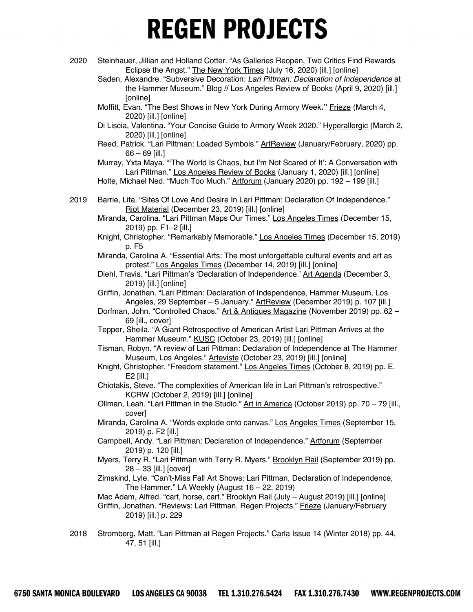- 2020 Steinhauer, Jillian and Holland Cotter. "As Galleries Reopen, Two Critics Find Rewards Eclipse the Angst." The New York Times (July 16, 2020) [ill.] [online]
	- Saden, Alexandre. "Subversive Decoration: *Lari Pittman: Declaration of Independence* at the Hammer Museum." Blog // Los Angeles Review of Books (April 9, 2020) [ill.] [online]
	- Moffitt, Evan. "The Best Shows in New York During Armory Week**."** Frieze (March 4, 2020) [ill.] [online]
	- Di Liscia, Valentina. "Your Concise Guide to Armory Week 2020." Hyperallergic (March 2, 2020) [ill.] [online]
	- Reed, Patrick. "Lari Pittman: Loaded Symbols." ArtReview (January/February, 2020) pp. 66 – 69 [ill.]

Murray, Yxta Maya. "'The World Is Chaos, but I'm Not Scared of It': A Conversation with Lari Pittman." Los Angeles Review of Books (January 1, 2020) [ill.] [online]

- 2019 Barrie, Lita. "Sites Of Love And Desire In Lari Pittman: Declaration Of Independence." Riot Material (December 23, 2019) [ill.] [online]
	- Miranda, Carolina. "Lari Pittman Maps Our Times." Los Angeles Times (December 15, 2019) pp. F1–2 [ill.]
	- Knight, Christopher. "Remarkably Memorable." Los Angeles Times (December 15, 2019) p. F5

Miranda, Carolina A. "Essential Arts: The most unforgettable cultural events and art as protest." Los Angeles Times (December 14, 2019) [ill.] [online]

- Diehl, Travis. "Lari Pittman's 'Declaration of Independence.' Art Agenda (December 3, 2019) [ill.] [online]
- Griffin, Jonathan. "Lari Pittman: Declaration of Independence, Hammer Museum, Los Angeles, 29 September – 5 January." ArtReview (December 2019) p. 107 [ill.]
- Dorfman, John. "Controlled Chaos." Art & Antiques Magazine (November 2019) pp. 62 69 [ill., cover]

Tepper, Sheila. "A Giant Retrospective of American Artist Lari Pittman Arrives at the Hammer Museum." KUSC (October 23, 2019) [ill.] [online]

- Tisman, Robyn. "A review of Lari Pittman: Declaration of Independence at The Hammer Museum, Los Angeles." Arteviste (October 23, 2019) [ill.] [online]
- Knight, Christopher. "Freedom statement." Los Angeles Times (October 8, 2019) pp. E, E2 [ill.]
- Chiotakis, Steve. "The complexities of American life in Lari Pittman's retrospective." KCRW (October 2, 2019) [ill.] [online]
- Ollman, Leah. "Lari Pittman in the Studio." Art in America (October 2019) pp. 70 79 [ill., cover]
- Miranda, Carolina A. "Words explode onto canvas." Los Angeles Times (September 15, 2019) p. F2 [ill.]
- Campbell, Andy. "Lari Pittman: Declaration of Independence." Artforum (September 2019) p. 120 [ill.]
- Myers, Terry R. "Lari Pittman with Terry R. Myers." Brooklyn Rail (September 2019) pp. 28 – 33 [ill.] [cover]
- Zimskind, Lyle. "Can't-Miss Fall Art Shows: Lari Pittman, Declaration of Independence, The Hammer."  $LA$  Weekly (August 16 – 22, 2019)

Mac Adam, Alfred. "cart, horse, cart." Brooklyn Rail (July - August 2019) [ill.] [online] Griffin, Jonathan. "Reviews: Lari Pittman, Regen Projects." Frieze (January/February 2019) [ill.] p. 229

2018 Stromberg, Matt. "Lari Pittman at Regen Projects." Carla Issue 14 (Winter 2018) pp. 44, 47, 51 [ill.]

Holte, Michael Ned. "Much Too Much." Artforum (January 2020) pp. 192 - 199 [ill.]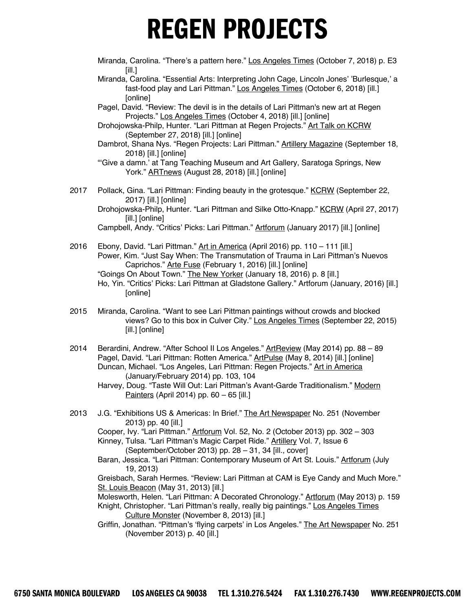- Miranda, Carolina. "There's a pattern here." Los Angeles Times (October 7, 2018) p. E3 [ill.]
- Miranda, Carolina. "Essential Arts: Interpreting John Cage, Lincoln Jones' 'Burlesque,' a fast-food play and Lari Pittman." Los Angeles Times (October 6, 2018) [ill.] [online]
- Pagel, David. "Review: The devil is in the details of Lari Pittman's new art at Regen Projects." Los Angeles Times (October 4, 2018) [ill.] [online]

Drohojowska-Philp, Hunter. "Lari Pittman at Regen Projects." Art Talk on KCRW (September 27, 2018) [ill.] [online]

- Dambrot, Shana Nys. "Regen Projects: Lari Pittman." Artillery Magazine (September 18, 2018) [ill.] [online]
- "'Give a damn.' at Tang Teaching Museum and Art Gallery, Saratoga Springs, New York." ARTnews (August 28, 2018) [ill.] [online]
- 2017 Pollack, Gina. "Lari Pittman: Finding beauty in the grotesque." KCRW (September 22, 2017) [ill.] [online]

Drohojowska-Philp, Hunter. "Lari Pittman and Silke Otto-Knapp." KCRW (April 27, 2017) [ill.] [online]

Campbell, Andy. "Critics' Picks: Lari Pittman." Artforum (January 2017) [ill.] [online]

- 2016 Ebony, David. "Lari Pittman." Art in America (April 2016) pp. 110 111 [ill.] Power, Kim. "Just Say When: The Transmutation of Trauma in Lari Pittman's Nuevos Caprichos." Arte Fuse (February 1, 2016) [ill.] [online] "Goings On About Town." The New Yorker (January 18, 2016) p. 8 [ill.]
	- Ho, Yin. "Critics' Picks: Lari Pittman at Gladstone Gallery." Artforum (January, 2016) [ill.] [online]
- 2015 Miranda, Carolina. "Want to see Lari Pittman paintings without crowds and blocked views? Go to this box in Culver City." Los Angeles Times (September 22, 2015) [ill.] [online]
- 2014 Berardini, Andrew. "After School II Los Angeles." **ArtReview** (May 2014) pp. 88 89 Pagel, David. "Lari Pittman: Rotten America." ArtPulse (May 8, 2014) [ill.] [online] Duncan, Michael. "Los Angeles, Lari Pittman: Regen Projects." Art in America (January/February 2014) pp. 103, 104
	- Harvey, Doug. "Taste Will Out: Lari Pittman's Avant-Garde Traditionalism." Modern Painters (April 2014) pp. 60 – 65 [ill.]
- 2013 J.G. "Exhibitions US & Americas: In Brief." The Art Newspaper No. 251 (November 2013) pp. 40 [ill.]

Cooper, Ivy. "Lari Pittman." Artforum Vol. 52, No. 2 (October 2013) pp. 302 – 303

- Kinney, Tulsa. "Lari Pittman's Magic Carpet Ride." Artillery Vol. 7, Issue 6 (September/October 2013) pp. 28 – 31, 34 [ill., cover]
- Baran, Jessica. "Lari Pittman: Contemporary Museum of Art St. Louis." Artforum (July 19, 2013)

Greisbach, Sarah Hermes. "Review: Lari Pittman at CAM is Eye Candy and Much More." St. Louis Beacon (May 31, 2013) [ill.]

Molesworth, Helen. "Lari Pittman: A Decorated Chronology." Artforum (May 2013) p. 159 Knight, Christopher. "Lari Pittman's really, really big paintings." Los Angeles Times Culture Monster (November 8, 2013) [ill.]

Griffin, Jonathan. "Pittman's 'flying carpets' in Los Angeles." The Art Newspaper No. 251 (November 2013) p. 40 [ill.]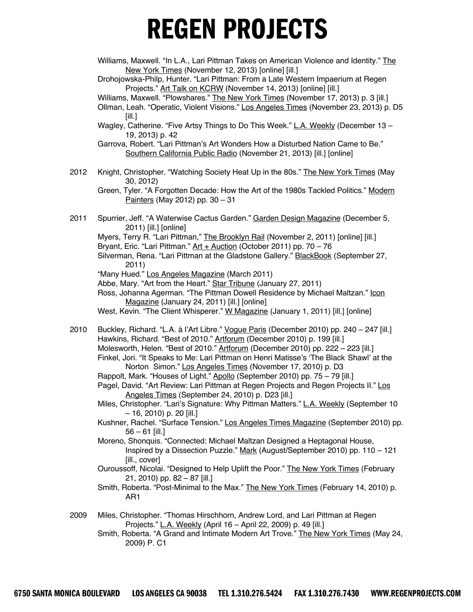Williams, Maxwell. "In L.A., Lari Pittman Takes on American Violence and Identity." The New York Times (November 12, 2013) [online] [ill.]

Drohojowska-Philp, Hunter. "Lari Pittman: From a Late Western Impaerium at Regen Projects." Art Talk on KCRW (November 14, 2013) [online] [ill.]

Williams, Maxwell. "Plowshares." The New York Times (November 17, 2013) p. 3 [ill.] Ollman, Leah. "Operatic, Violent Visions." Los Angeles Times (November 23, 2013) p. D5 [ill.]

Wagley, Catherine. "Five Artsy Things to Do This Week." L.A. Weekly (December 13 – 19, 2013) p. 42

Garrova, Robert. "Lari Pittman's Art Wonders How a Disturbed Nation Came to Be." Southern California Public Radio (November 21, 2013) [ill.] [online]

2012 Knight, Christopher. "Watching Society Heat Up in the 80s." The New York Times (May 30, 2012)

Green, Tyler. "A Forgotten Decade: How the Art of the 1980s Tackled Politics." Modern Painters (May 2012) pp. 30 – 31

2011 Spurrier, Jeff. "A Waterwise Cactus Garden." Garden Design Magazine (December 5, 2011) [ill.] [online]

Myers, Terry R. "Lari Pittman," The Brooklyn Rail (November 2, 2011) [online] [ill.] Bryant, Eric. "Lari Pittman." Art + Auction (October 2011) pp. 70 – 76

Silverman, Rena. "Lari Pittman at the Gladstone Gallery." **BlackBook** (September 27, 2011)

"Many Hued." Los Angeles Magazine (March 2011)

Abbe, Mary. "Art from the Heart." Star Tribune (January 27, 2011)

Ross, Johanna Agerman. "The Pittman Dowell Residence by Michael Maltzan." lcon Magazine (January 24, 2011) [ill.] [online]

West, Kevin. "The Client Whisperer." W Magazine (January 1, 2011) [ill.] [online]

- 2010 Buckley, Richard. "L.A. à l'Art Libre." Vogue Paris (December 2010) pp. 240 247 [ill.] Hawkins, Richard. "Best of 2010." Artforum (December 2010) p. 199 [ill.] Molesworth, Helen. "Best of 2010." Artforum (December 2010) pp. 222 – 223 [ill.] Finkel, Jori. "It Speaks to Me: Lari Pittman on Henri Matisse's 'The Black Shawl' at the Norton Simon." Los Angeles Times (November 17, 2010) p. D3 Rappolt, Mark. "Houses of Light." Apollo (September 2010) pp. 75 – 79 [ill.] Pagel, David. "Art Review: Lari Pittman at Regen Projects and Regen Projects II." Los Angeles Times (September 24, 2010) p. D23 [ill.]
	- Miles, Christopher. "Lari's Signature: Why Pittman Matters." L.A. Weekly (September 10 – 16, 2010) p. 20 [ill.]
	- Kushner, Rachel. "Surface Tension." Los Angeles Times Magazine (September 2010) pp.  $56 - 61$  [ill.]
	- Moreno, Shonquis. "Connected: Michael Maltzan Designed a Heptagonal House, Inspired by a Dissection Puzzle." Mark (August/September 2010) pp. 110 – 121 [ill., cover]
	- Ouroussoff, Nicolai. "Designed to Help Uplift the Poor." The New York Times (February 21, 2010) pp. 82 – 87 [ill.]

Smith, Roberta. "Post-Minimal to the Max." The New York Times (February 14, 2010) p. AR1

2009 Miles, Christopher. "Thomas Hirschhorn, Andrew Lord, and Lari Pittman at Regen Projects." L.A. Weekly (April 16 – April 22, 2009) p. 49 [ill.]

Smith, Roberta. "A Grand and Intimate Modern Art Trove." The New York Times (May 24, 2009) P. C1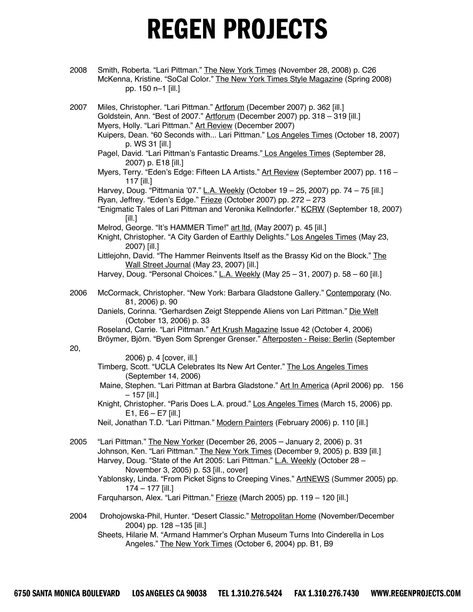2008 Smith, Roberta. "Lari Pittman." The New York Times (November 28, 2008) p. C26 McKenna, Kristine. "SoCal Color." The New York Times Style Magazine (Spring 2008) pp. 150 n–1 [ill.]

| 2007 | Miles, Christopher. "Lari Pittman." Artforum (December 2007) p. 362 [ill.]<br>Goldstein, Ann. "Best of 2007." Artforum (December 2007) pp. 318 - 319 [ill.]                                                                                                                                |
|------|--------------------------------------------------------------------------------------------------------------------------------------------------------------------------------------------------------------------------------------------------------------------------------------------|
|      | Myers, Holly. "Lari Pittman." Art Review (December 2007)<br>Kuipers, Dean. "60 Seconds with Lari Pittman." Los Angeles Times (October 18, 2007)<br>p. WS 31 [ill.]                                                                                                                         |
|      | Pagel, David. "Lari Pittman's Fantastic Dreams." Los Angeles Times (September 28,<br>2007) p. E18 [ill.]                                                                                                                                                                                   |
|      | Myers, Terry. "Eden's Edge: Fifteen LA Artists." Art Review (September 2007) pp. 116 -<br>117 $[ill.]$                                                                                                                                                                                     |
|      | Harvey, Doug. "Pittmania '07." L.A. Weekly (October 19 - 25, 2007) pp. 74 - 75 [ill.]<br>Ryan, Jeffrey. "Eden's Edge." Frieze (October 2007) pp. 272 - 273<br>"Enigmatic Tales of Lari Pittman and Veronika Kellndorfer." KCRW (September 18, 2007)<br>[III.]                              |
|      | Melrod, George. "It's HAMMER Time!" art Itd. (May 2007) p. 45 [ill.]<br>Knight, Christopher. "A City Garden of Earthly Delights." Los Angeles Times (May 23,<br>2007) [ill.]                                                                                                               |
|      | Littlejohn, David. "The Hammer Reinvents Itself as the Brassy Kid on the Block." The<br>Wall Street Journal (May 23, 2007) [ill.]                                                                                                                                                          |
|      | Harvey, Doug. "Personal Choices." L.A. Weekly (May 25 - 31, 2007) p. 58 - 60 [ill.]                                                                                                                                                                                                        |
| 2006 | McCormack, Christopher. "New York: Barbara Gladstone Gallery." Contemporary (No.<br>81, 2006) p. 90                                                                                                                                                                                        |
|      | Daniels, Corinna. "Gerhardsen Zeigt Steppende Aliens von Lari Pittman." Die Welt<br>(October 13, 2006) p. 33                                                                                                                                                                               |
|      | Roseland, Carrie. "Lari Pittman." Art Krush Magazine Issue 42 (October 4, 2006)<br>Bröymer, Björn. "Byen Som Sprenger Grenser." Afterposten - Reise: Berlin (September                                                                                                                     |
| 20,  | 2006) p. 4 [cover, ill.]                                                                                                                                                                                                                                                                   |
|      | Timberg, Scott. "UCLA Celebrates Its New Art Center." The Los Angeles Times<br>(September 14, 2006)                                                                                                                                                                                        |
|      | Maine, Stephen. "Lari Pittman at Barbra Gladstone." Art In America (April 2006) pp. 156<br>$-157$ [ill.]                                                                                                                                                                                   |
|      | Knight, Christopher. "Paris Does L.A. proud." Los Angeles Times (March 15, 2006) pp.<br>$E1, E6 - E7$ [ill.]                                                                                                                                                                               |
|      | Neil, Jonathan T.D. "Lari Pittman." Modern Painters (February 2006) p. 110 [ill.]                                                                                                                                                                                                          |
| 2005 | "Lari Pittman." The New Yorker (December 26, 2005 - January 2, 2006) p. 31<br>Johnson, Ken. "Lari Pittman." The New York Times (December 9, 2005) p. B39 [ill.]<br>Harvey, Doug. "State of the Art 2005: Lari Pittman." L.A. Weekly (October 28 -<br>November 3, 2005) p. 53 [ill., cover] |
|      | Yablonsky, Linda. "From Picket Signs to Creeping Vines." ArtNEWS (Summer 2005) pp.<br>$174 - 177$ [ill.]                                                                                                                                                                                   |
|      | Farquharson, Alex. "Lari Pittman." Frieze (March 2005) pp. 119 - 120 [ill.]                                                                                                                                                                                                                |
| 2004 | Drohojowska-Phil, Hunter. "Desert Classic." Metropolitan Home (November/December<br>2004) pp. 128 -135 [ill.]                                                                                                                                                                              |
|      | Sheets, Hilarie M. "Armand Hammer's Orphan Museum Turns Into Cinderella in Los<br>Angeles." The New York Times (October 6, 2004) pp. B1, B9                                                                                                                                                |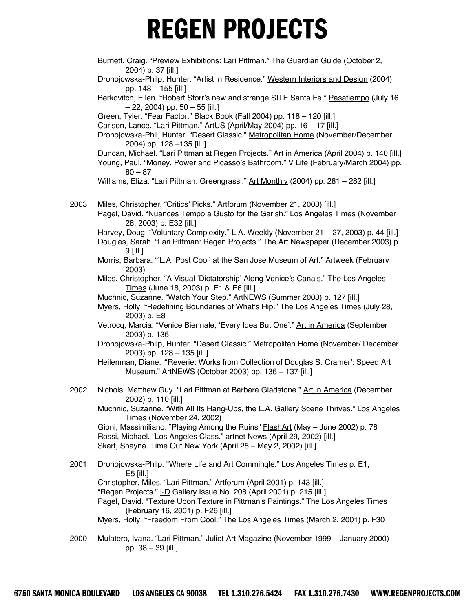Burnett, Craig. "Preview Exhibitions: Lari Pittman." The Guardian Guide (October 2,

|      | 2004) p. 37 [ill.]                                                                                                                                                                                                                      |
|------|-----------------------------------------------------------------------------------------------------------------------------------------------------------------------------------------------------------------------------------------|
|      | Drohojowska-Philp, Hunter. "Artist in Residence." Western Interiors and Design (2004)<br>pp. 148 - 155 [ill.]                                                                                                                           |
|      | Berkovitch, Ellen. "Robert Storr's new and strange SITE Santa Fe." Pasatiempo (July 16<br>$-22$ , 2004) pp. 50 $-55$ [ill.]                                                                                                             |
|      | Green, Tyler. "Fear Factor." Black Book (Fall 2004) pp. 118 - 120 [ill.]                                                                                                                                                                |
|      | Carlson, Lance. "Lari Pittman." ArtUS (April/May 2004) pp. 16 - 17 [ill.]                                                                                                                                                               |
|      | Drohojowska-Phil, Hunter. "Desert Classic." Metropolitan Home (November/December<br>2004) pp. 128-135 [ill.]                                                                                                                            |
|      | Duncan, Michael. "Lari Pittman at Regen Projects." Art in America (April 2004) p. 140 [ill.]<br>Young, Paul. "Money, Power and Picasso's Bathroom." V Life (February/March 2004) pp.<br>$80 - 87$                                       |
|      | Williams, Eliza. "Lari Pittman: Greengrassi." Art Monthly (2004) pp. 281 - 282 [ill.]                                                                                                                                                   |
| 2003 | Miles, Christopher. "Critics' Picks." Artforum (November 21, 2003) [ill.]<br>Pagel, David. "Nuances Tempo a Gusto for the Garish." Los Angeles Times (November                                                                          |
|      | 28, 2003) p. E32 [ill.]<br>Harvey, Doug. "Voluntary Complexity." L.A. Weekly (November 21 - 27, 2003) p. 44 [ill.]<br>Douglas, Sarah. "Lari Pittman: Regen Projects." The Art Newspaper (December 2003) p.                              |
|      | 9 [ill.]<br>Morris, Barbara. "'L.A. Post Cool' at the San Jose Museum of Art." Artweek (February<br>2003)                                                                                                                               |
|      | Miles, Christopher. "A Visual 'Dictatorship' Along Venice's Canals." The Los Angeles<br>Times (June 18, 2003) p. E1 & E6 [ill.]                                                                                                         |
|      | Muchnic, Suzanne. "Watch Your Step." ArtNEWS (Summer 2003) p. 127 [ill.]                                                                                                                                                                |
|      | Myers, Holly. "Redefining Boundaries of What's Hip." The Los Angeles Times (July 28,<br>2003) p. E8                                                                                                                                     |
|      | Vetrocq, Marcia. "Venice Biennale, 'Every Idea But One'." Art in America (September<br>2003) p. 136                                                                                                                                     |
|      | Drohojowska-Philp, Hunter. "Desert Classic." Metropolitan Home (November/ December<br>2003) pp. 128 - 135 [ill.]                                                                                                                        |
|      | Heilenman, Diane. "Reverie: Works from Collection of Douglas S. Cramer': Speed Art<br>Museum." ArtNEWS (October 2003) pp. 136 - 137 [ill.]                                                                                              |
| 2002 | Nichols, Matthew Guy. "Lari Pittman at Barbara Gladstone." Art in America (December,<br>2002) p. 110 [ill.]                                                                                                                             |
|      | Muchnic, Suzanne. "With All Its Hang-Ups, the L.A. Gallery Scene Thrives." Los Angeles<br>Times (November 24, 2002)                                                                                                                     |
|      | Gioni, Massimiliano. "Playing Among the Ruins" FlashArt (May - June 2002) p. 78<br>Rossi, Michael. "Los Angeles Class." artnet News (April 29, 2002) [ill.]<br>Skarf, Shayna. Time Out New York (April 25 - May 2, 2002) [ill.]         |
| 2001 | Drohojowska-Philp. "Where Life and Art Commingle." Los Angeles Times p. E1,<br>$E5$ [ill.]                                                                                                                                              |
|      | Christopher, Miles. "Lari Pittman." Artforum (April 2001) p. 143 [ill.]<br>"Regen Projects." I-D Gallery Issue No. 208 (April 2001) p. 215 [ill.]<br>Pagel, David. "Texture Upon Texture in Pittman's Paintings." The Los Angeles Times |
|      | (February 16, 2001) p. F26 [ill.]<br>Myers, Holly. "Freedom From Cool." The Los Angeles Times (March 2, 2001) p. F30                                                                                                                    |
| 2000 | Mulatero, Ivana. "Lari Pittman." Juliet Art Magazine (November 1999 - January 2000)                                                                                                                                                     |

pp. 38 – 39 [ill.]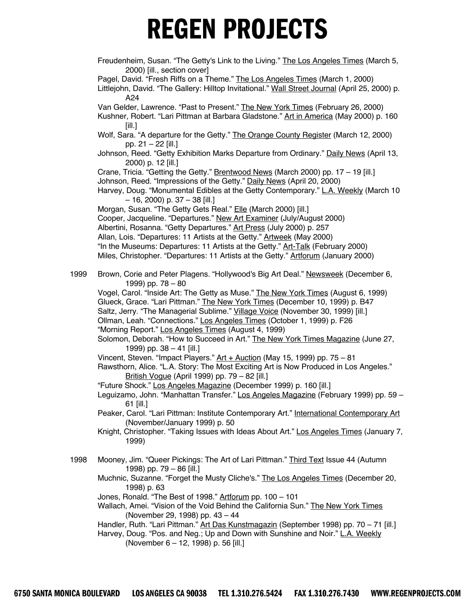|      | Freudenheim, Susan. "The Getty's Link to the Living." The Los Angeles Times (March 5,<br>2000) [ill., section cover]<br>Pagel, David. "Fresh Riffs on a Theme." The Los Angeles Times (March 1, 2000)                                               |
|------|-----------------------------------------------------------------------------------------------------------------------------------------------------------------------------------------------------------------------------------------------------|
|      | Littlejohn, David. "The Gallery: Hilltop Invitational." Wall Street Journal (April 25, 2000) p.<br>A24                                                                                                                                              |
|      | Van Gelder, Lawrence. "Past to Present." The New York Times (February 26, 2000)<br>Kushner, Robert. "Lari Pittman at Barbara Gladstone." Art in America (May 2000) p. 160                                                                           |
|      | [III.]<br>Wolf, Sara. "A departure for the Getty." The Orange County Register (March 12, 2000)<br>pp. 21 - 22 [ill.]                                                                                                                                |
|      | Johnson, Reed. "Getty Exhibition Marks Departure from Ordinary." Daily News (April 13,<br>2000) p. 12 [ill.]                                                                                                                                        |
|      | Crane, Tricia. "Getting the Getty." Brentwood News (March 2000) pp. 17 - 19 [ill.]<br>Johnson, Reed. "Impressions of the Getty." Daily News (April 20, 2000)<br>Harvey, Doug. "Monumental Edibles at the Getty Contemporary." L.A. Weekly (March 10 |
|      | $-16, 2000$ ) p. 37 $-38$ [ill.]<br>Morgan, Susan. "The Getty Gets Real." Elle (March 2000) [ill.]                                                                                                                                                  |
|      | Cooper, Jacqueline. "Departures." New Art Examiner (July/August 2000)                                                                                                                                                                               |
|      | Albertini, Rosanna. "Getty Departures." Art Press (July 2000) p. 257<br>Allan, Lois. "Departures: 11 Artists at the Getty." Artweek (May 2000)                                                                                                      |
|      | "In the Museums: Departures: 11 Artists at the Getty." Art-Talk (February 2000)                                                                                                                                                                     |
|      | Miles, Christopher. "Departures: 11 Artists at the Getty." Artforum (January 2000)                                                                                                                                                                  |
| 1999 | Brown, Corie and Peter Plagens. "Hollywood's Big Art Deal." Newsweek (December 6,<br>1999) pp. 78 - 80                                                                                                                                              |
|      | Vogel, Carol. "Inside Art: The Getty as Muse." The New York Times (August 6, 1999)                                                                                                                                                                  |
|      | Glueck, Grace. "Lari Pittman." The New York Times (December 10, 1999) p. B47                                                                                                                                                                        |
|      | Saltz, Jerry. "The Managerial Sublime." Village Voice (November 30, 1999) [ill.]<br>Ollman, Leah. "Connections." Los Angeles Times (October 1, 1999) p. F26                                                                                         |
|      | "Morning Report." Los Angeles Times (August 4, 1999)                                                                                                                                                                                                |
|      | Solomon, Deborah. "How to Succeed in Art." The New York Times Magazine (June 27,<br>1999) pp. $38 - 41$ [ill.]                                                                                                                                      |
|      | Vincent, Steven. "Impact Players." Art + Auction (May 15, 1999) pp. 75 - 81                                                                                                                                                                         |
|      | Rawsthorn, Alice. "L.A. Story: The Most Exciting Art is Now Produced in Los Angeles."<br>British Vogue (April 1999) pp. 79 - 82 [ill.]                                                                                                              |
|      | "Future Shock." Los Angeles Magazine (December 1999) p. 160 [ill.]                                                                                                                                                                                  |
|      | Leguizamo, John. "Manhattan Transfer." Los Angeles Magazine (February 1999) pp. 59 -<br>$61$ [ill.]                                                                                                                                                 |
|      | Peaker, Carol. "Lari Pittman: Institute Contemporary Art." International Contemporary Art<br>(November/January 1999) p. 50                                                                                                                          |
|      | Knight, Christopher. "Taking Issues with Ideas About Art." Los Angeles Times (January 7,<br>1999)                                                                                                                                                   |
| 1998 | Mooney, Jim. "Queer Pickings: The Art of Lari Pittman." Third Text Issue 44 (Autumn<br>1998) pp. 79 - 86 [ill.]                                                                                                                                     |
|      | Muchnic, Suzanne. "Forget the Musty Cliche's." The Los Angeles Times (December 20,<br>1998) p. 63                                                                                                                                                   |
|      | Jones, Ronald. "The Best of 1998." Artforum pp. 100 - 101                                                                                                                                                                                           |
|      | Wallach, Amei. "Vision of the Void Behind the California Sun." The New York Times<br>(November 29, 1998) pp. 43 - 44                                                                                                                                |
|      | Handler, Ruth. "Lari Pittman." Art Das Kunstmagazin (September 1998) pp. 70 - 71 [ill.]                                                                                                                                                             |
|      | Harvey, Doug. "Pos. and Neg.; Up and Down with Sunshine and Noir." L.A. Weekly<br>(November 6 - 12, 1998) p. 56 [ill.]                                                                                                                              |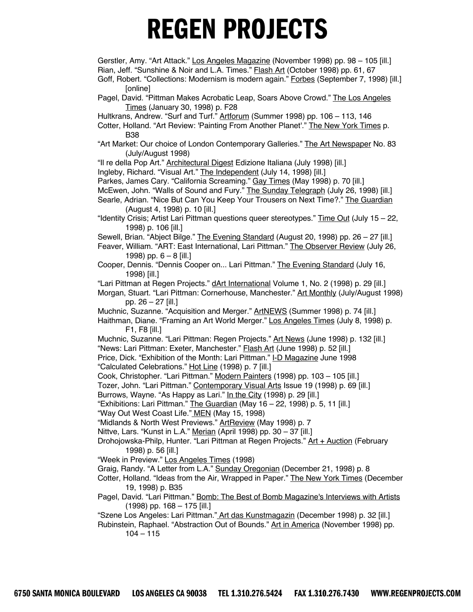Gerstler, Amy. "Art Attack." Los Angeles Magazine (November 1998) pp. 98 – 105 [ill.] Rian, Jeff. "Sunshine & Noir and L.A. Times." Flash Art (October 1998) pp. 61, 67 Goff, Robert. "Collections: Modernism is modern again." Forbes (September 7, 1998) [ill.] [online] Pagel, David. "Pittman Makes Acrobatic Leap, Soars Above Crowd." The Los Angeles Times (January 30, 1998) p. F28 Hultkrans, Andrew. "Surf and Turf." Artforum (Summer 1998) pp. 106 – 113, 146 Cotter, Holland. "Art Review: 'Painting From Another Planet'." The New York Times p. B38 "Art Market: Our choice of London Contemporary Galleries." The Art Newspaper No. 83 (July/August 1998) "Il re della Pop Art." Architectural Digest Edizione Italiana (July 1998) [ill.] Ingleby, Richard. "Visual Art." The Independent (July 14, 1998) [ill.] Parkes, James Cary. "California Screaming." Gay Times (May 1998) p. 70 [ill.] McEwen, John. "Walls of Sound and Fury." The Sunday Telegraph (July 26, 1998) [ill.] Searle, Adrian. "Nice But Can You Keep Your Trousers on Next Time?." The Guardian (August 4, 1998) p. 10 [ill.] "Identity Crisis; Artist Lari Pittman questions queer stereotypes." Time Out (July 15 – 22, 1998) p. 106 [ill.] Sewell, Brian. "Abject Bilge." The Evening Standard (August 20, 1998) pp. 26 - 27 [ill.] Feaver, William. "ART: East International, Lari Pittman." The Observer Review (July 26, 1998) pp.  $6 - 8$  [ill.] Cooper, Dennis. "Dennis Cooper on... Lari Pittman." The Evening Standard (July 16, 1998) [ill.] "Lari Pittman at Regen Projects." dArt International Volume 1, No. 2 (1998) p. 29 [ill.] Morgan, Stuart. "Lari Pittman: Cornerhouse, Manchester." Art Monthly (July/August 1998) pp. 26 – 27 [ill.] Muchnic, Suzanne. "Acquisition and Merger." ArtNEWS (Summer 1998) p. 74 [ill.] Haithman, Diane. "Framing an Art World Merger." Los Angeles Times (July 8, 1998) p. F1, F8 [ill.] Muchnic, Suzanne. "Lari Pittman: Regen Projects." Art News (June 1998) p. 132 [ill.] "News: Lari Pittman: Exeter, Manchester." Flash Art (June 1998) p. 52 [ill.] Price, Dick. "Exhibition of the Month: Lari Pittman." I-D Magazine June 1998 "Calculated Celebrations." Hot Line (1998) p. 7 [ill.] Cook, Christopher. "Lari Pittman." Modern Painters (1998) pp. 103 – 105 [ill.] Tozer, John. "Lari Pittman." Contemporary Visual Arts Issue 19 (1998) p. 69 [ill.] Burrows, Wayne. "As Happy as Lari." In the City (1998) p. 29 [ill.] "Exhibitions: Lari Pittman." The Guardian (May 16 - 22, 1998) p. 5, 11 [ill.] "Way Out West Coast Life." MEN (May 15, 1998) "Midlands & North West Previews." ArtReview (May 1998) p. 7 Nittve, Lars. "Kunst in L.A." Merian (April 1998) pp. 30 – 37 [ill.] Drohojowska-Philp, Hunter. "Lari Pittman at Regen Projects." Art + Auction (February 1998) p. 56 [ill.] "Week in Preview." Los Angeles Times (1998) Graig, Randy. "A Letter from L.A." Sunday Oregonian (December 21, 1998) p. 8 Cotter, Holland. "Ideas from the Air, Wrapped in Paper." The New York Times (December 19, 1998) p. B35 Pagel, David. "Lari Pittman." Bomb: The Best of Bomb Magazine's Interviews with Artists (1998) pp. 168 – 175 [ill.] "Szene Los Angeles: Lari Pittman." Art das Kunstmagazin (December 1998) p. 32 [ill.] Rubinstein, Raphael. "Abstraction Out of Bounds." Art in America (November 1998) pp.  $104 - 115$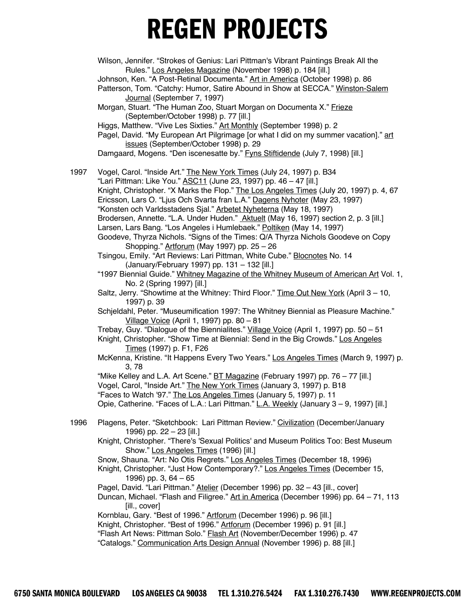Wilson, Jennifer. "Strokes of Genius: Lari Pittman's Vibrant Paintings Break All the Rules." Los Angeles Magazine (November 1998) p. 184 [ill.] Johnson, Ken. "A Post-Retinal Documenta." Art in America (October 1998) p. 86 Patterson, Tom. "Catchy: Humor, Satire Abound in Show at SECCA." Winston-Salem Journal (September 7, 1997) Morgan, Stuart. "The Human Zoo, Stuart Morgan on Documenta X." Frieze (September/October 1998) p. 77 [ill.] Higgs, Matthew. "Vive Les Sixties." Art Monthly (September 1998) p. 2 Pagel, David. "My European Art Pilgrimage [or what I did on my summer vacation]." art issues (September/October 1998) p. 29 Damgaard, Mogens. "Den iscenesatte by." **Fyns Stiftidende (July 7, 1998)** [ill.] 1997 Vogel, Carol. "Inside Art." The New York Times (July 24, 1997) p. B34 "Lari Pittman: Like You." ASC11 (June 23, 1997) pp. 46 – 47 [ill.] Knight, Christopher. "X Marks the Flop." The Los Angeles Times (July 20, 1997) p. 4, 67 Ericsson, Lars O. "Ljus Och Svarta fran L.A." Dagens Nyhoter (May 23, 1997) "Konsten och Varldsstadens Sjal." Arbetet Nyheterna (May 18, 1997) Brodersen, Annette. "L.A. Under Huden." Aktuelt (May 16, 1997) section 2, p. 3 [ill.] Larsen, Lars Bang. "Los Angeles i Humlebaek." Poltiken (May 14, 1997) Goodeve, Thyrza Nichols. "Signs of the Times: Q/A Thyrza Nichols Goodeve on Copy Shopping." Artforum (May 1997) pp. 25 – 26 Tsingou, Emily. "Art Reviews: Lari Pittman, White Cube." Blocnotes No. 14 (January/February 1997) pp. 131 – 132 [ill.] "1997 Biennial Guide." Whitney Magazine of the Whitney Museum of American Art Vol. 1, No. 2 (Spring 1997) [ill.] Saltz, Jerry. "Showtime at the Whitney: Third Floor." Time Out New York (April 3 - 10, 1997) p. 39 Schjeldahl, Peter. "Museumification 1997: The Whitney Biennial as Pleasure Machine." Village Voice (April 1, 1997) pp. 80 – 81 Trebay, Guy. "Dialogue of the Biennialites." Village Voice (April 1, 1997) pp. 50 – 51 Knight, Christopher. "Show Time at Biennial: Send in the Big Crowds." Los Angeles Times (1997) p. F1, F26 McKenna, Kristine. "It Happens Every Two Years." Los Angeles Times (March 9, 1997) p. 3, 78 "Mike Kelley and L.A. Art Scene." **BT Magazine** (February 1997) pp. 76 – 77 [ill.] Vogel, Carol, "Inside Art." The New York Times (January 3, 1997) p. B18 "Faces to Watch '97." The Los Angeles Times (January 5, 1997) p. 11 Opie, Catherine. "Faces of L.A.: Lari Pittman." L.A. Weekly (January 3 - 9, 1997) [ill.] 1996 Plagens, Peter. "Sketchbook: Lari Pittman Review." Civilization (December/January 1996) pp. 22 – 23 [ill.] Knight, Christopher. "There's 'Sexual Politics' and Museum Politics Too: Best Museum Show." Los Angeles Times (1996) [ill.] Snow, Shauna. "Art: No Otis Regrets." Los Angeles Times (December 18, 1996) Knight, Christopher. "Just How Contemporary?." Los Angeles Times (December 15, 1996) pp. 3, 64 – 65 Pagel, David. "Lari Pittman." Atelier (December 1996) pp. 32 - 43 [ill., cover] Duncan, Michael. "Flash and Filigree." Art in America (December 1996) pp. 64 - 71, 113 [ill., cover] Kornblau, Gary. "Best of 1996." Artforum (December 1996) p. 96 [ill.] Knight, Christopher. "Best of 1996." Artforum (December 1996) p. 91 [ill.] "Flash Art News: Pittman Solo." Flash Art (November/December 1996) p. 47 "Catalogs." Communication Arts Design Annual (November 1996) p. 88 [ill.]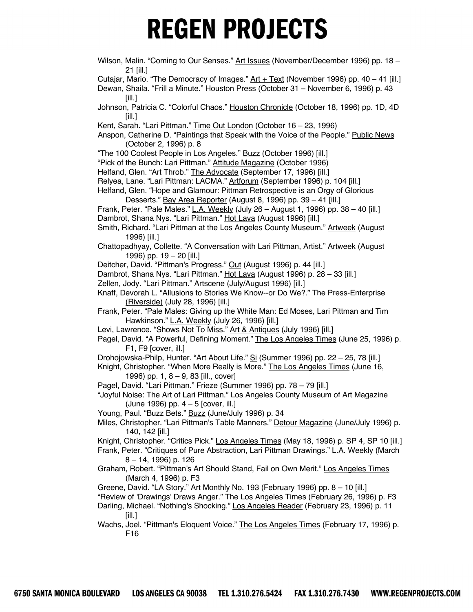| Wilson, Malin. "Coming to Our Senses." Art Issues (November/December 1996) pp. 18 -<br>21 [ill.] |
|--------------------------------------------------------------------------------------------------|
| Cutajar, Mario. "The Democracy of Images." Art + Text (November 1996) pp. 40 - 41 [ill.]         |
| Dewan, Shaila. "Frill a Minute." Houston Press (October 31 - November 6, 1996) p. 43             |
| [III.]                                                                                           |
| Johnson, Patricia C. "Colorful Chaos." Houston Chronicle (October 18, 1996) pp. 1D, 4D           |
|                                                                                                  |
| [III.]                                                                                           |
| Kent, Sarah. "Lari Pittman." Time Out London (October 16 - 23, 1996)                             |
| Anspon, Catherine D. "Paintings that Speak with the Voice of the People." Public News            |
| (October 2, 1996) p. 8                                                                           |
| "The 100 Coolest People in Los Angeles." Buzz (October 1996) [ill.]                              |
| "Pick of the Bunch: Lari Pittman." Attitude Magazine (October 1996)                              |
| Helfand, Glen. "Art Throb." The Advocate (September 17, 1996) [ill.]                             |
| Relyea, Lane. "Lari Pittman: LACMA." Artforum (September 1996) p. 104 [ill.]                     |
| Helfand, Glen. "Hope and Glamour: Pittman Retrospective is an Orgy of Glorious                   |
| Desserts." Bay Area Reporter (August 8, 1996) pp. 39 - 41 [ill.]                                 |
| Frank, Peter. "Pale Males." L.A. Weekly (July 26 - August 1, 1996) pp. 38 - 40 [ill.]            |
| Dambrot, Shana Nys. "Lari Pittman." Hot Lava (August 1996) [ill.]                                |
| Smith, Richard. "Lari Pittman at the Los Angeles County Museum." Artweek (August                 |
| 1996) [ill.]                                                                                     |
| Chattopadhyay, Collette. "A Conversation with Lari Pittman, Artist." Artweek (August             |
| 1996) pp. 19 - 20 [ill.]                                                                         |
| Deitcher, David. "Pittman's Progress." Out (August 1996) p. 44 [ill.]                            |
| Dambrot, Shana Nys. "Lari Pittman." Hot Lava (August 1996) p. 28 - 33 [ill.]                     |
| Zellen, Jody. "Lari Pittman." Artscene (July/August 1996) [ill.]                                 |
| Knaff, Devorah L. "Allusions to Stories We Know--or Do We?." The Press-Enterprise                |
| (Riverside) (July 28, 1996) [ill.]                                                               |
| Frank, Peter. "Pale Males: Giving up the White Man: Ed Moses, Lari Pittman and Tim               |
| Hawkinson." L.A. Weekly (July 26, 1996) [ill.]                                                   |
| Levi, Lawrence. "Shows Not To Miss." Art & Antiques (July 1996) [ill.]                           |
| Pagel, David. "A Powerful, Defining Moment." The Los Angeles Times (June 25, 1996) p.            |
| F1, F9 [cover, ill.]                                                                             |
| Drohojowska-Philp, Hunter. "Art About Life." Si (Summer 1996) pp. 22 - 25, 78 [ill.]             |
| Knight, Christopher. "When More Really is More." The Los Angeles Times (June 16,                 |
| 1996) pp. 1, $8 - 9$ , 83 [ill., cover]                                                          |
| Pagel, David. "Lari Pittman." Frieze (Summer 1996) pp. 78 - 79 [ill.]                            |
| "Joyful Noise: The Art of Lari Pittman." Los Angeles County Museum of Art Magazine               |
| (June 1996) pp. 4 – 5 [cover, ill.]                                                              |
| Young, Paul. "Buzz Bets." Buzz (June/July 1996) p. 34                                            |
| Miles, Christopher. "Lari Pittman's Table Manners." Detour Magazine (June/July 1996) p.          |
| 140, 142 [ill.]                                                                                  |
| Knight, Christopher. "Critics Pick." Los Angeles Times (May 18, 1996) p. SP 4, SP 10 [ill.]      |
| Frank, Peter. "Critiques of Pure Abstraction, Lari Pittman Drawings." L.A. Weekly (March         |
| 8 - 14, 1996) p. 126                                                                             |
| Graham, Robert. "Pittman's Art Should Stand, Fail on Own Merit." Los Angeles Times               |
| (March 4, 1996) p. F3                                                                            |
| Greene, David. "LA Story." Art Monthly No. 193 (February 1996) pp. 8 - 10 [ill.]                 |
| "Review of 'Drawings' Draws Anger." The Los Angeles Times (February 26, 1996) p. F3              |
|                                                                                                  |
| Darling, Michael. "Nothing's Shocking." Los Angeles Reader (February 23, 1996) p. 11             |
| [III.]                                                                                           |
| Wachs, Joel. "Pittman's Eloquent Voice." The Los Angeles Times (February 17, 1996) p.<br>F16     |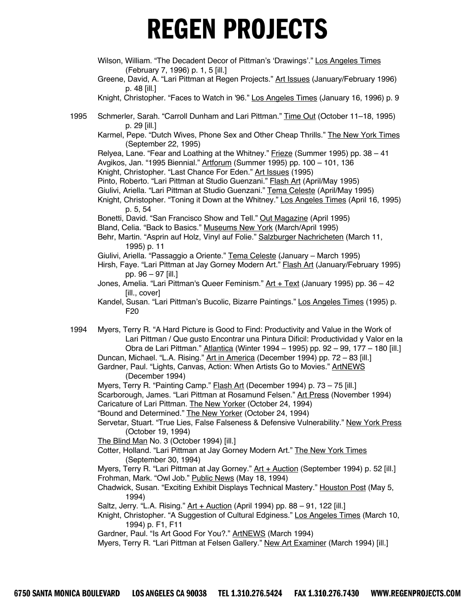Wilson, William. "The Decadent Decor of Pittman's 'Drawings'." Los Angeles Times (February 7, 1996) p. 1, 5 [ill.]

Greene, David, A. "Lari Pittman at Regen Projects." Art Issues (January/February 1996) p. 48 [ill.]

Knight, Christopher. "Faces to Watch in '96." Los Angeles Times (January 16, 1996) p. 9

1995 Schmerler, Sarah. "Carroll Dunham and Lari Pittman." Time Out (October 11–18, 1995) p. 29 [ill.]

Karmel, Pepe. "Dutch Wives, Phone Sex and Other Cheap Thrills." The New York Times (September 22, 1995)

Relyea, Lane. "Fear and Loathing at the Whitney." Frieze (Summer 1995) pp. 38 - 41 Avgikos, Jan. "1995 Biennial." Artforum (Summer 1995) pp. 100 – 101, 136

Knight, Christopher. "Last Chance For Eden." Art Issues (1995)

Pinto, Roberto. "Lari Pittman at Studio Guenzani." Flash Art (April/May 1995)

Giulivi, Ariella. "Lari Pittman at Studio Guenzani." Tema Celeste (April/May 1995)

- Knight, Christopher. "Toning it Down at the Whitney." Los Angeles Times (April 16, 1995) p. 5, 54
- Bonetti, David. "San Francisco Show and Tell." Out Magazine (April 1995)

Bland, Celia. "Back to Basics." Museums New York (March/April 1995)

- Behr, Martin. "Asprin auf Holz, Vinyl auf Folie." Salzburger Nachricheten (March 11, 1995) p. 11
- Giulivi, Ariella. "Passaggio a Oriente." Tema Celeste (January March 1995)
- Hirsh, Faye. "Lari Pittman at Jay Gorney Modern Art." Flash Art (January/February 1995) pp. 96 – 97 [ill.]
- Jones, Amelia. "Lari Pittman's Queer Feminism." Art + Text (January 1995) pp. 36 42 [ill., cover]
- Kandel, Susan. "Lari Pittman's Bucolic, Bizarre Paintings." Los Angeles Times (1995) p. F20
- 1994 Myers, Terry R. "A Hard Picture is Good to Find: Productivity and Value in the Work of Lari Pittman / Que gusto Encontrar una Pintura Dificil: Productividad y Valor en la Obra de Lari Pittman." Atlantica (Winter 1994 – 1995) pp. 92 – 99, 177 – 180 [ill.] Duncan, Michael. "L.A. Rising." Art in America (December 1994) pp. 72 – 83 [ill.]
	- Gardner, Paul. "Lights, Canvas, Action: When Artists Go to Movies." ArtNEWS (December 1994)

Myers, Terry R. "Painting Camp." **Flash Art (December 1994) p. 73 - 75 [ill.]** 

Scarborough, James. "Lari Pittman at Rosamund Felsen." Art Press (November 1994)

Caricature of Lari Pittman. The New Yorker (October 24, 1994)

"Bound and Determined." The New Yorker (October 24, 1994)

- Servetar, Stuart. "True Lies, False Falseness & Defensive Vulnerability." New York Press (October 19, 1994)
- The Blind Man No. 3 (October 1994) [ill.]
- Cotter, Holland. "Lari Pittman at Jay Gorney Modern Art." The New York Times (September 30, 1994)
- Myers, Terry R. "Lari Pittman at Jay Gorney." Art + Auction (September 1994) p. 52 [ill.] Frohman, Mark. "Owl Job." Public News (May 18, 1994)
- Chadwick, Susan. "Exciting Exhibit Displays Technical Mastery." Houston Post (May 5, 1994)

Saltz, Jerry. "L.A. Rising." Art + Auction (April 1994) pp. 88 - 91, 122 [ill.]

Knight, Christopher. "A Suggestion of Cultural Edginess." Los Angeles Times (March 10, 1994) p. F1, F11

Gardner, Paul. "Is Art Good For You?." ArtNEWS (March 1994)

Myers, Terry R. "Lari Pittman at Felsen Gallery." New Art Examiner (March 1994) [ill.]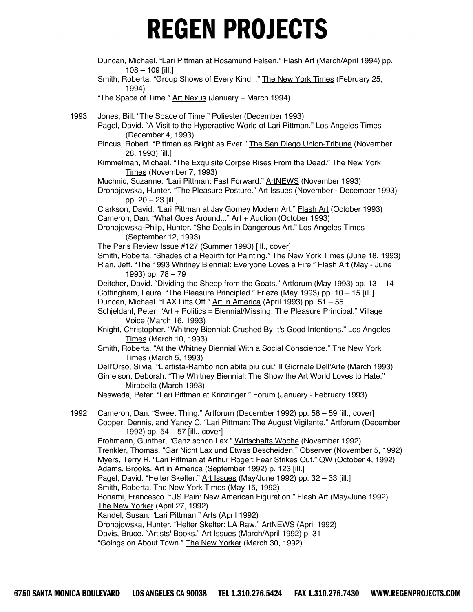Duncan, Michael. "Lari Pittman at Rosamund Felsen." Flash Art (March/April 1994) pp.  $108 - 109$  [ill.] Smith, Roberta. "Group Shows of Every Kind..." The New York Times (February 25, 1994) "The Space of Time." Art Nexus (January – March 1994) 1993 Jones, Bill. "The Space of Time." Poliester (December 1993) Pagel, David. "A Visit to the Hyperactive World of Lari Pittman." Los Angeles Times (December 4, 1993) Pincus, Robert. "Pittman as Bright as Ever." The San Diego Union-Tribune (November 28, 1993) [ill.] Kimmelman, Michael. "The Exquisite Corpse Rises From the Dead." The New York Times (November 7, 1993) Muchnic, Suzanne. "Lari Pittman: Fast Forward." ArtNEWS (November 1993) Drohojowska, Hunter. "The Pleasure Posture." Art Issues (November - December 1993) pp. 20 – 23 [ill.] Clarkson, David. "Lari Pittman at Jay Gorney Modern Art." Flash Art (October 1993) Cameron, Dan. "What Goes Around..." Art + Auction (October 1993) Drohojowska-Philp, Hunter. "She Deals in Dangerous Art." Los Angeles Times (September 12, 1993) The Paris Review Issue #127 (Summer 1993) [ill., cover] Smith, Roberta. "Shades of a Rebirth for Painting." The New York Times (June 18, 1993) Rian, Jeff. "The 1993 Whitney Biennial: Everyone Loves a Fire." Flash Art (May - June 1993) pp. 78 – 79 Deitcher, David. "Dividing the Sheep from the Goats." Artforum (May 1993) pp. 13 - 14 Cottingham, Laura. "The Pleasure Principled." Frieze (May 1993) pp. 10 - 15 [ill.] Duncan, Michael. "LAX Lifts Off." Art in America (April 1993) pp. 51 – 55 Schjeldahl, Peter. "Art + Politics = Biennial/Missing: The Pleasure Principal." Village Voice (March 16, 1993) Knight, Christopher. "Whitney Biennial: Crushed By It's Good Intentions." Los Angeles Times (March 10, 1993) Smith, Roberta. "At the Whitney Biennial With a Social Conscience." The New York Times (March 5, 1993) Dell'Orso, Silvia. "L'artista-Rambo non abita piu qui." Il Giornale Dell'Arte (March 1993) Gimelson, Deborah. "The Whitney Biennial: The Show the Art World Loves to Hate." Mirabella (March 1993) Nesweda, Peter. "Lari Pittman at Krinzinger." Forum (January - February 1993) 1992 Cameron, Dan. "Sweet Thing." Artforum (December 1992) pp. 58 – 59 [ill., cover] Cooper, Dennis, and Yancy C. "Lari Pittman: The August Vigilante." Artforum (December 1992) pp. 54 – 57 [ill., cover] Frohmann, Gunther, "Ganz schon Lax." Wirtschafts Woche (November 1992) Trenkler, Thomas. "Gar Nicht Lax und Etwas Bescheiden." Observer (November 5, 1992) Myers, Terry R. "Lari Pittman at Arthur Roger: Fear Strikes Out." QW (October 4, 1992) Adams, Brooks. Art in America (September 1992) p. 123 [ill.] Pagel, David. "Helter Skelter." Art Issues (May/June 1992) pp. 32 - 33 [ill.] Smith, Roberta. The New York Times (May 15, 1992) Bonami, Francesco. "US Pain: New American Figuration." Flash Art (May/June 1992) The New Yorker (April 27, 1992) Kandel, Susan. "Lari Pittman." Arts (April 1992) Drohojowska, Hunter. "Helter Skelter: LA Raw." ArtNEWS (April 1992) Davis, Bruce. "Artists' Books." Art Issues (March/April 1992) p. 31 "Goings on About Town." The New Yorker (March 30, 1992)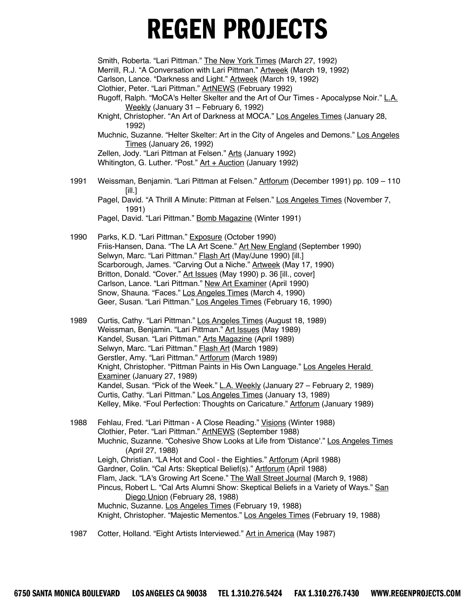Smith, Roberta. "Lari Pittman." The New York Times (March 27, 1992) Merrill, R.J. "A Conversation with Lari Pittman." Artweek (March 19, 1992) Carlson, Lance. "Darkness and Light." Artweek (March 19, 1992) Clothier, Peter. "Lari Pittman." ArtNEWS (February 1992) Rugoff, Ralph. "MoCA's Helter Skelter and the Art of Our Times - Apocalypse Noir." L.A. Weekly (January 31 – February 6, 1992) Knight, Christopher. "An Art of Darkness at MOCA." Los Angeles Times (January 28, 1992) Muchnic, Suzanne. "Helter Skelter: Art in the City of Angeles and Demons." Los Angeles Times (January 26, 1992) Zellen, Jody. "Lari Pittman at Felsen." Arts (January 1992) Whitington, G. Luther. "Post." Art + Auction (January 1992)

- 1991 Weissman, Benjamin. "Lari Pittman at Felsen." Artforum (December 1991) pp. 109 110 [ill.] Pagel, David. "A Thrill A Minute: Pittman at Felsen." Los Angeles Times (November 7, 1991) Pagel, David. "Lari Pittman." Bomb Magazine (Winter 1991)
- 1990 Parks, K.D. "Lari Pittman." Exposure (October 1990) Friis-Hansen, Dana. "The LA Art Scene." Art New England (September 1990) Selwyn, Marc. "Lari Pittman." Flash Art (May/June 1990) [ill.] Scarborough, James. "Carving Out a Niche." Artweek (May 17, 1990) Britton, Donald. "Cover." Art Issues (May 1990) p. 36 [ill., cover] Carlson, Lance. "Lari Pittman." New Art Examiner (April 1990) Snow, Shauna. "Faces." Los Angeles Times (March 4, 1990) Geer, Susan. "Lari Pittman." Los Angeles Times (February 16, 1990)
- 1989 Curtis, Cathy. "Lari Pittman." Los Angeles Times (August 18, 1989) Weissman, Benjamin. "Lari Pittman." Art Issues (May 1989) Kandel, Susan. "Lari Pittman." Arts Magazine (April 1989) Selwyn, Marc. "Lari Pittman." Flash Art (March 1989) Gerstler, Amy. "Lari Pittman." Artforum (March 1989) Knight, Christopher. "Pittman Paints in His Own Language." Los Angeles Herald Examiner (January 27, 1989) Kandel, Susan. "Pick of the Week." L.A. Weekly (January 27 - February 2, 1989) Curtis, Cathy. "Lari Pittman." Los Angeles Times (January 13, 1989) Kelley, Mike. "Foul Perfection: Thoughts on Caricature." Artforum (January 1989)
- 1988 Fehlau, Fred. "Lari Pittman A Close Reading." Visions (Winter 1988) Clothier, Peter. "Lari Pittman." ArtNEWS (September 1988) Muchnic, Suzanne. "Cohesive Show Looks at Life from 'Distance'." Los Angeles Times (April 27, 1988) Leigh, Christian. "LA Hot and Cool - the Eighties." Artforum (April 1988) Gardner, Colin. "Cal Arts: Skeptical Belief(s)." Artforum (April 1988) Flam, Jack. "LA's Growing Art Scene." The Wall Street Journal (March 9, 1988) Pincus, Robert L. "Cal Arts Alumni Show: Skeptical Beliefs in a Variety of Ways." San Diego Union (February 28, 1988) Muchnic, Suzanne. Los Angeles Times (February 19, 1988) Knight, Christopher. "Majestic Mementos." Los Angeles Times (February 19, 1988)
- 1987 Cotter, Holland. "Eight Artists Interviewed." Art in America (May 1987)